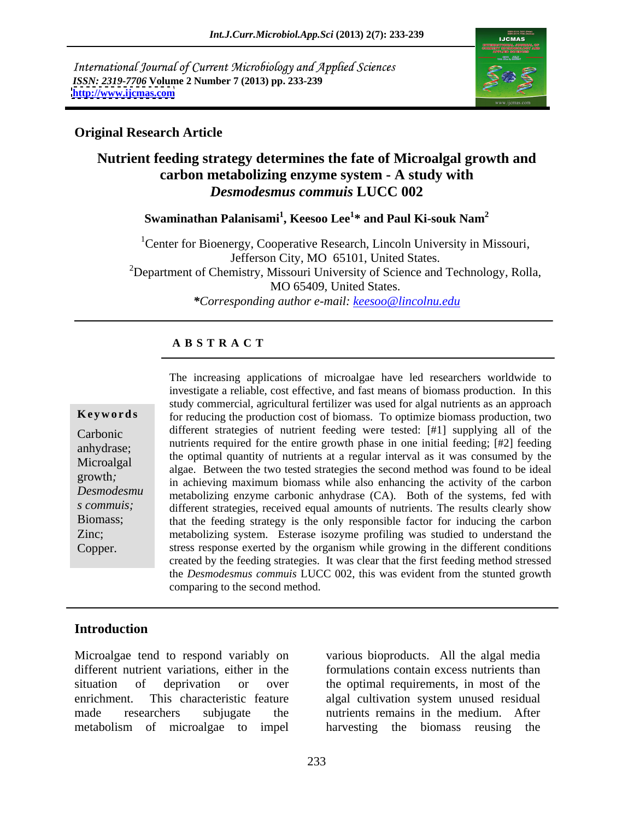International Journal of Current Microbiology and Applied Sciences *ISSN: 2319-7706* **Volume 2 Number 7 (2013) pp. 233-239 <http://www.ijcmas.com>**



# **Original Research Article**

# **Nutrient feeding strategy determines the fate of Microalgal growth and carbon metabolizing enzyme system - A study with**  *Desmodesmus commuis* **LUCC 002**

**Swaminathan Palanisami<sup>1</sup> , Keesoo Lee<sup>1</sup> \* and Paul Ki-souk Nam<sup>2</sup>**

<sup>1</sup>Center for Bioenergy, Cooperative Research, Lincoln University in Missouri,<br>Jefferson City, MO 65101, United States. <sup>2</sup>Department of Chemistry, Missouri University of Science and Technology, Rolla, MO 65409, United States. *\*Corresponding author e-mail: keesoo@lincolnu.edu*

## **A B S T R A C T**

*Desmodesmu* in active metabolizing enzyme carbonic anhydrase (CA). Both of the systems, fed with **Keywords** for reducing the production cost of biomass. To optimize biomass production, two Carbonic different strategies of nutrient feeding were tested: [#1] supplying all of the anhydrase; humanis required for the entire growth phase in one initial leeding;  $\mu$ z) leeding<br>Microsological the optimal quantity of nutrients at a regular interval as it was consumed by the Microalgal algae. Between the two tested strategies the second method was found to be ideal growth;<br>in achieving maximum biomass while also enhancing the activity of the carbon *s commuis;* different strategies, received equal amounts of nutrients. The results clearly show Biomass; that the feeding strategy is the only responsible factor for inducing the carbon Zinc; metabolizing system. Esterase isozyme profiling was studied to understand the Copper. stress response exerted by the organism while growing in the different conditions The increasing applications of microalgae have led researchers worldwide to investigate a reliable, cost effective, and fast means of biomass production. In this study commercial, agricultural fertilizer was used for algal nutrients as an approach nutrients required for the entire growth phase in one initial feeding; [#2] feeding created by the feeding strategies. It was clear that the first feeding method stressed the *Desmodesmus commuis* LUCC 002, this was evident from the stunted growth comparing to the second method.

# **Introduction**

Microalgae tend to respond variably on various bioproducts. All the algal media different nutrient variations, either in the formulations contain excess nutrients than situation of deprivation or over the optimal requirements, in most of the enrichment. This characteristic feature algal cultivation system unused residual made researchers subjugate the nutrients remains in the medium. After metabolism of microalgae to impel harvesting the biomass reusing the

harvesting the biomass reusing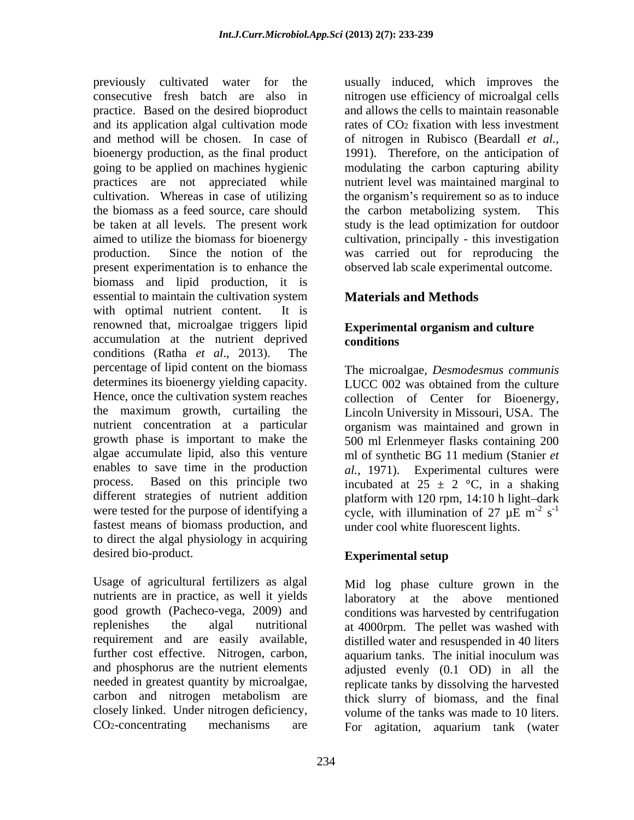previously cultivated water for the usually induced, which improves the consecutive fresh batch are also in nitrogen use efficiency of microalgal cells practice. Based on the desired bioproduct and its application algal cultivation mode and method will be chosen. In case of of nitrogen in Rubisco (Beardall *et al.,* bioenergy production, as the final product 1991). Therefore, on the anticipation of going to be applied on machines hygienic modulating the carbon capturing ability practices are not appreciated while nutrient level was maintained marginal to cultivation. Whereas in case of utilizing the organism's requirement so as to induce the biomass as a feed source, care should be taken at all levels. The present work study is the lead optimization for outdoor aimed to utilize the biomass for bioenergy cultivation, principally - this investigation production. Since the notion of the was carried out for reproducing the present experimentation is to enhance the biomass and lipid production, it is essential to maintain the cultivation system with optimal nutrient content. It is renowned that, microalgae triggers lipid accumulation at the nutrient deprived conditions (Ratha *et al*., 2013). The percentage of lipid content on the biomass The microalgae, *Desmodesmus communis* determines its bioenergy yielding capacity. LUCC 002 was obtained from the culture Hence, once the cultivation system reaches collection of Center for Bioenergy, the maximum growth, curtailing the nutrient concentration at a particular organism was maintained and grown in growth phase is important to make the 500 ml Erlenmeyer flasks containing 200 algae accumulate lipid, also this venture ml of synthetic BG 11 medium (Stanier *et*  enables to save time in the production al., 1971). Experimental cultures were process. Based on this principle two incubated at  $25 \pm 2$  °C, in a shaking different strategies of nutrient addition platform with 120 rpm, 14:10 h light-dark were tested for the purpose of identifying a cycle, with illumination of 27  $\mu$ E m<sup>-2</sup> s<sup>-1</sup> fastest means of biomass production, and to direct the algal physiology in acquiring desired bio-product.

Usage of agricultural fertilizers as algal nutrients are in practice, as well it yields and phosphorus are the nutrient elements and allows the cells to maintain reasonable rates of CO2 fixation with less investment the carbon metabolizing system. observed lab scale experimental outcome.

# **Materials and Methods**

## **Experimental organism and culture conditions**

Lincoln University in Missouri, USA. The  $-2$   $-1$  $\mathrm{s}^{-1}$ -1 under cool white fluorescent lights.

# **Experimental setup**

good growth (Pacheco-vega, 2009) and conditions was harvested by centrifugation replenishes the algal nutritional at 4000rpm. The pellet was washed with requirement and are easily available, distilled water and resuspended in 40 liters further cost effective. Nitrogen, carbon, aquarium tanks. The initial inoculum was needed in greatest quantity by microalgae, replicate tanks by dissolving the harvested carbon and nitrogen metabolism are thick slurry of biomass, and the final closely linked. Under nitrogen deficiency, volume of the tanks was made to 10 liters. CO2-concentrating mechanisms are For agitation, aquarium tank (waterMid log phase culture grown in the laboratory at the above mentioned adjusted evenly (0.1 OD) in all the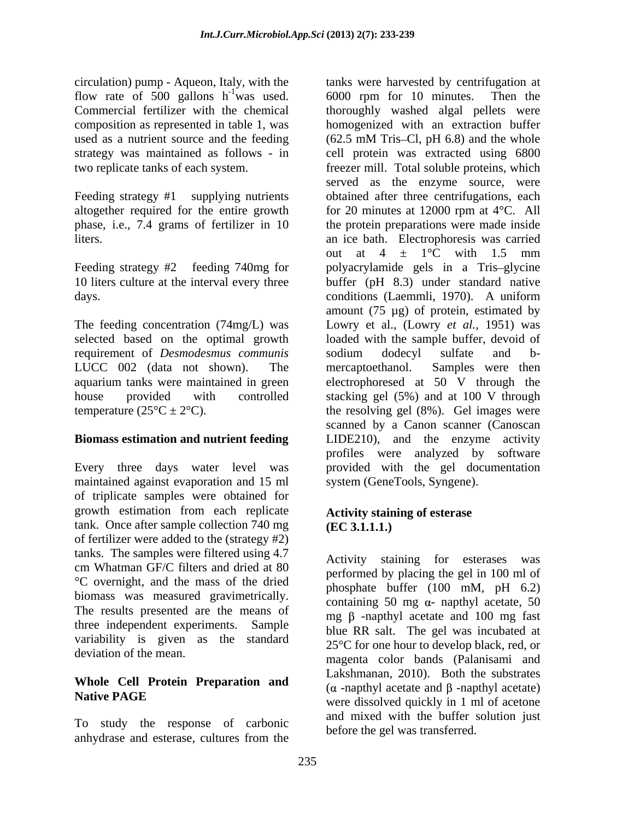circulation) pump - Aqueon, Italy, with the used as a nutrient source and the feeding (62.5 mM Tris-Cl, pH 6.8) and the whole

requirement of *Desmodesmus communis*

# **Biomass estimation and nutrient feeding**

maintained against evaporation and 15 ml of triplicate samples were obtained for growth estimation from each replicate tank. Once after sample collection  $740 \text{ mg}$  (EC 3.1.1.1.) of fertilizer were added to the (strategy #2) tanks. The samples were filtered using 4.7 cm Whatman GF/C filters and dried at 80 °C overnight, and the mass of the dried biomass was measured gravimetrically. The results presented are the means of three independent experiments. Sample variability is given as the standard deviation of the mean.

# **Whole Cell Protein Preparation and**

To study the response of carbonic anhydrase and esterase, cultures from the corrolled the general manifold.

flow rate of 500 gallons  $h^{-1}$  was used. 6000 rpm for 10 minutes. Then the Commercial fertilizer with the chemical thoroughly washed algal pellets were composition as represented in table 1, was homogenized with an extraction buffer strategy was maintained as follows - in cell protein was extracted using 6800 two replicate tanks of each system. freezer mill. Total soluble proteins, which Feeding strategy #1 supplying nutrients obtained after three centrifugations, each altogether required for the entire growth for 20 minutes at 12000 rpm at 4°C.All phase, i.e., 7.4 grams of fertilizer in 10 the protein preparations were made inside liters. an ice bath. Electrophoresis was carried Feeding strategy #2 feeding 740mg for polyacrylamide gels in a Tris-glycine 10 liters culture at the interval every three buffer (pH 8.3) under standard native days. conditions (Laemmli, 1970). A uniform The feeding concentration (74mg/L) was Lowry et al., (Lowry *et al.,* 1951) was selected based on the optimal growth loaded with the sample buffer, devoid of LUCC 002 (data not shown). The mercaptoethanol. Samples were then aquarium tanks were maintained in green electrophoresed at 50 V through the house provided with controlled stacking gel (5%) and at 100 V through temperature  $(25^{\circ}\text{C} \pm 2^{\circ}\text{C})$ . the resolving gel (8%). Gel images were Every three days water level was provided with the gel documentation tanks were harvested by centrifugation at  $(62.5 \text{ mM Tris–Cl}, \text{pH } 6.8)$  and the whole served as the enzyme source, were out at  $4 \pm 1$ °C with 1.5 mm amount (75 µg) of protein, estimated by sodium dodecyl sulfate and b mercaptoethanol. Samples were then scanned by a Canon scanner (Canoscan LIDE210), and the enzyme activity profiles were analyzed by software system (GeneTools, Syngene).

## **Activity staining of esterase (EC 3.1.1.1.)**

**Native PAGE Example 19 Section Contract and the section of the section were dissolved quickly in 1 ml of acetone** Activity staining for esterases was performed by placing the gel in 100 ml of phosphate buffer (100 mM, pH 6.2) containing 50 mg  $\alpha$ - napthyl acetate, 50 mg  $\beta$  -napthyl acetate and 100 mg fast blue RR salt. The gel was incubated at 25°C for one hour to develop black, red, or magenta color bands (Palanisami and Lakshmanan, 2010). Both the substrates  $(\alpha$  -napthyl acetate and  $\beta$  -napthyl acetate) and mixed with the buffer solution just before the gel was transferred.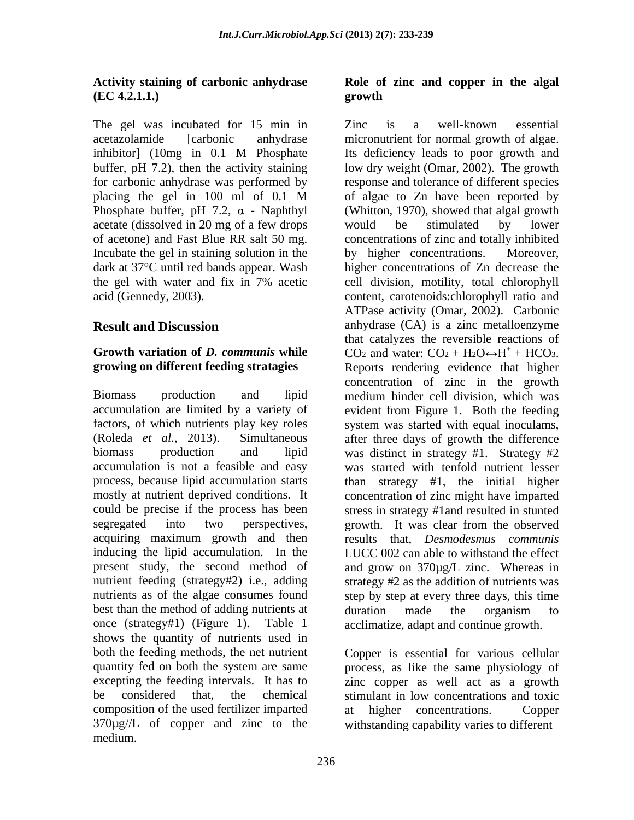## **Activity staining of carbonic anhydrase Role of zinc and copper in the algal (EC 4.2.1.1.)**

The gel was incubated for 15 min in Zinc is a well-known essential Phosphate buffer, pH 7.2,  $\alpha$  - Naphthyl acetate (dissolved in 20 mg of a few drops would be stimulated by lower Incubate the gel in staining solution in the by higher concentrations. Moreover,

## **Growth variation of** *D.**communis* **while**  $CO_2$  **and water:**  $CO_2 + H_2O \rightarrow H^+ + HCO_3$ **. growing on different feeding stratagies**

Biomass production and lipid accumulation are limited by a variety of factors, of which nutrients play key roles system was started with equal inoculams, (Roleda *et al.,* 2013). Simultaneous segregated into two perspectives, growth. It was clear from the observed acquiring maximum growth and then inducing the lipid accumulation. In the nutrient feeding (strategy#2) i.e., adding best than the method of adding nutrients at duration made the organism to once (strategy#1) (Figure 1). Table 1 shows the quantity of nutrients used in both the feeding methods, the net nutrient Copper is essential for various cellular quantity fed on both the system are same process, as like the same physiology of excepting the feeding intervals. It has to zinc copper as well act as a growth be considered that, the chemical stimulant in low concentrations and toxic composition of the used fertilizer imparted at higher concentrations. Copper 370µg//L of copper and zinc to the medium.

# **growth**

acetazolamide [carbonic anhydrase micronutrient for normal growth of algae. inhibitor] (10mg in 0.1 M Phosphate buffer, pH 7.2), then the activity staining low dry weight (Omar, 2002). The growth for carbonic anhydrase was performed by response and tolerance of different species placing the gel in 100 ml of 0.1 M of algae to Zn have been reported by of acetone) and Fast Blue RR salt 50 mg. concentrations of zinc and totally inhibited dark at 37°C until red bands appear. Wash higher concentrations of Zn decrease the the gel with water and fix in 7% acetic acid (Gennedy, 2003). content, carotenoids:chlorophyll ratio and **Result and Discussion** anhydrase (CA) is a zinc metalloenzyme biomass production and lipid was distinct in strategy #1. Strategy #2 accumulation is not a feasible and easy was started with tenfold nutrient lesser process, because lipid accumulation starts than strategy #1, the initial higher mostly at nutrient deprived conditions. It concentration of zinc might have imparted could be precise if the process has been stress in strategy #1and resulted in stunted present study, the second method of and grow on 370µg/L zinc. Whereas in nutrients as of the algae consumes found step by step at every three days, this time Zinc is a well-known essential Its deficiency leads to poor growth and (Whitton, 1970), showed that algal growth would be stimulated by lower by higher concentrations. cell division, motility, total chlorophyll ATPase activity (Omar, 2002). Carbonic that catalyzes the reversible reactions of CO<sub>2</sub> and water:  $CO_2 + H_2O \leftrightarrow H^+ + HCO_3$ . + CO<sub>2</sub> and water: CO<sub>2</sub> + H<sub>2</sub>O $\leftrightarrow$ H<sup>+</sup> + HCO<sub>3</sub>.<br>Reports rendering evidence that higher concentration of zinc in the growth medium hinder cell division, which was evident from Figure 1. Both the feeding system was started with equal inoculams,<br>after three days of growth the difference growth. It was clear from the observed results that, *Desmodesmus communis* LUCC 002 can able to withstand the effect strategy #2 as the addition of nutrients was duration made the organism to acclimatize, adapt and continue growth.

> higher concentrations. withstanding capability varies to different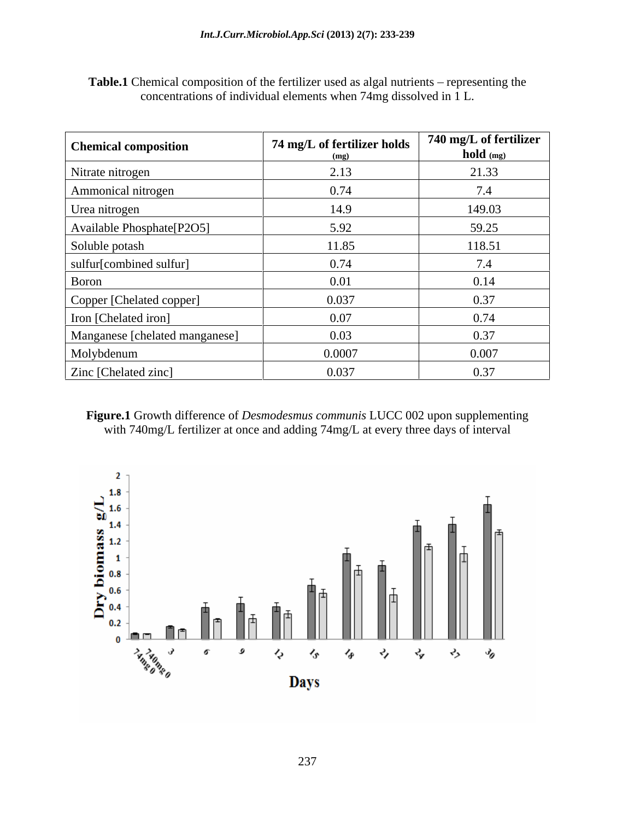| <b>Chemical composition</b>    | 74 mg/L of fertilizer holds | 740 mg/L of fertilizer<br>hold (mg) |
|--------------------------------|-----------------------------|-------------------------------------|
| Nitrate nitrogen               | 2.13                        | 21.33                               |
| Ammonical nitrogen             | 0.74                        | 7.4                                 |
| Urea nitrogen                  | 14.9                        | 149.03                              |
| Available Phosphate[P2O5]      | 5.92                        | 59.25                               |
| Soluble potash                 | 11.85                       | 118.51                              |
| sulfur[combined sulfur]        | 0.74                        | 7.4                                 |
| Boron                          | 0.01                        | 0.14                                |
| Copper [Chelated copper]       | 0.037                       | 0.37                                |
| Iron [Chelated iron]           | 0.07                        | 0.74                                |
| Manganese [chelated manganese] | 0.03                        | 0.37                                |
| Molybdenum                     | 0.0007                      | 0.007                               |
| Zinc [Chelated zinc]           | 0.037                       | 0.37                                |

Table.1 Chemical composition of the fertilizer used as algal nutrients - representing the concentrations of individual elements when 74mg dissolved in 1 L.

**Figure.1** Growth difference of *Desmodesmus communis* LUCC 002 upon supplementing with 740mg/L fertilizer at once and adding 74mg/L at every three days of interval

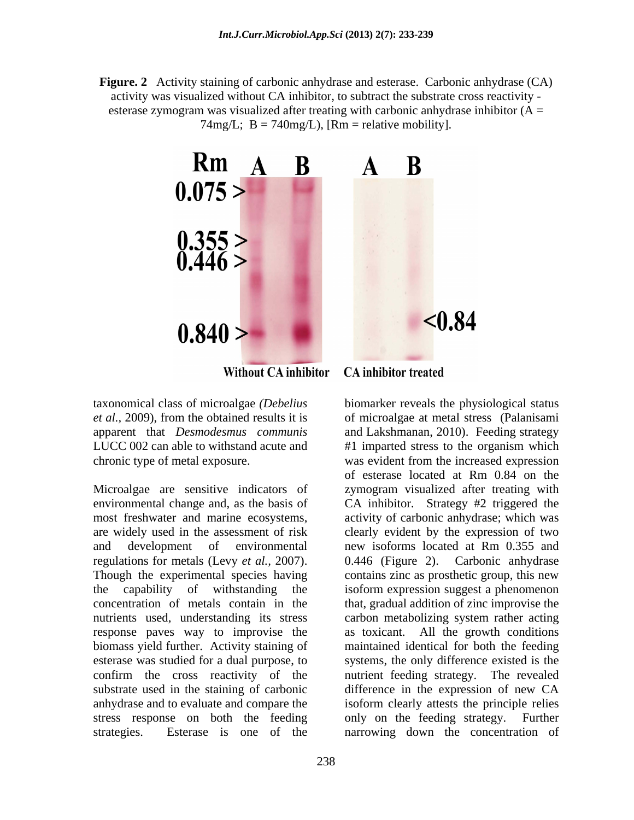**Figure. 2** Activity staining of carbonic anhydrase and esterase. Carbonic anhydrase (CA) activity was visualized without CA inhibitor, to subtract the substrate cross reactivity esterase zymogram was visualized after treating with carbonic anhydrase inhibitor  $(A =$  $74mg/L$ ; B =  $740mg/L$ ), [Rm = relative mobility].



**Without CA inhibitor** 

Microalgae are sensitive indicators of zymogram visualized after treating with environmental change and, as the basis of CA inhibitor. Strategy #2 triggered the most freshwater and marine ecosystems, activity of carbonic anhydrase; which was are widely used in the assessment of risk clearly evident by the expression of two and development of environmental new isoforms located at Rm 0.355 and regulations for metals (Levy *et al.*, 2007). 0.446 (Figure 2). Carbonic anhydrase<br>Though the experimental species having contains zinc as prosthetic group, this new the capability of withstanding the isoform expression suggest a phenomenon concentration of metals contain in the that, gradual addition of zinc improvise the nutrients used, understanding its stress carbon metabolizing system rather acting response paves way to improvise the as toxicant. All the growth conditions biomass yield further. Activity staining of maintained identical for both the feeding esterase was studied for a dual purpose, to systems, the only difference existed is the confirm the cross reactivity of the nutrient feeding strategy. The revealed substrate used in the staining of carbonic difference in the expression of new CA anhydrase and to evaluate and compare the isoform clearly attests the principle relies stress response on both the feeding only on the feeding strategy. Further

**CA** inhibitor treated

taxonomical class of microalgae *(Debelius*  biomarker reveals the physiological status *et al.,* 2009), from the obtained results it is of microalgae at metal stress (Palanisami apparent that *Desmodesmus communis* and Lakshmanan, 2010). Feeding strategy LUCC 002 can able to withstand acute and #1 imparted stress to the organism which chronic type of metal exposure. was evident from the increased expression strategies. Esterase is one of the narrowing down the concentration ofof esterase located at Rm 0.84 on the new isoforms located at Rm 0.355 and 0.446 (Figure 2). Carbonic anhydrase contains zinc as prosthetic group, this new only on the feeding strategy.